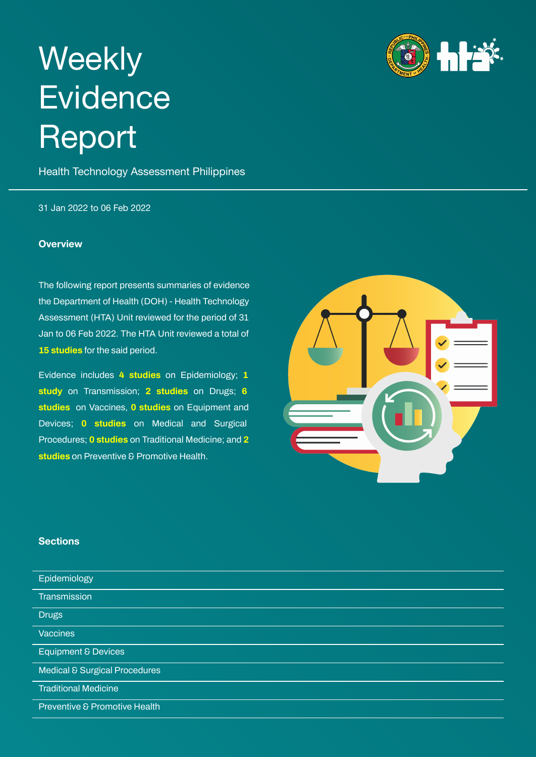# <span id="page-0-0"></span>**Weekly Evidence** Report

Health Technology Assessment Philippines

31 Jan 2022 to 06 Feb 2022

#### **Overview**

The following report presents summaries of evidence the Department of Health (DOH) - Health Technology Assessment (HTA) Unit reviewed for the period of 31 Jan to 06 Feb 2022. The HTA Unit reviewed a total of **15 studies** for the said period.

Evidence includes **4 studies** on Epidemiology; **1 study** on Transmission; **2 studies** on Drugs; **6 studies** on Vaccines, **0 studies** on Equipment and Devices; **0 studies** on Medical and Surgical Procedures; **0 studies** on Traditional Medicine; and **2 studies** on Preventive & Promotive Health.

#### **Sections**

| Epidemiology                             |
|------------------------------------------|
|                                          |
| Transmission                             |
|                                          |
|                                          |
| <b>Drugs</b>                             |
|                                          |
| <b>Vaccines</b>                          |
|                                          |
| <b>Equipment &amp; Devices</b>           |
|                                          |
| <b>Medical &amp; Surgical Procedures</b> |
|                                          |
|                                          |
| <b>Traditional Medicine</b>              |
|                                          |
| Preventive & Promotive Health            |
|                                          |

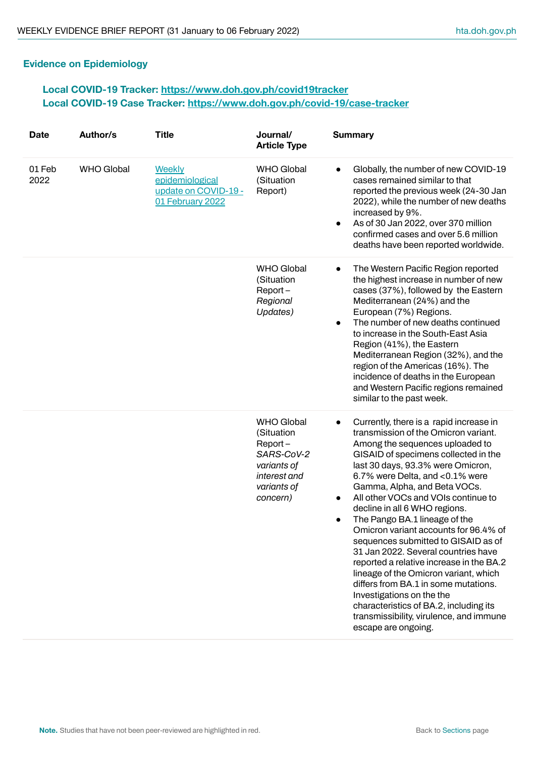# <span id="page-1-0"></span>**Evidence on Epidemiology**

# **Local COVID-19 Tracker: <https://www.doh.gov.ph/covid19tracker> Local COVID-19 Case Tracker: <https://www.doh.gov.ph/covid-19/case-tracker>**

| <b>Date</b>    | Author/s          | <b>Title</b>                                                          | Journal/<br><b>Article Type</b>                                                                                       | <b>Summary</b>                                                                                                                                                                                                                                                                                                                                                                                                                                                                                                                                                                                                                                                                                                                                                                        |
|----------------|-------------------|-----------------------------------------------------------------------|-----------------------------------------------------------------------------------------------------------------------|---------------------------------------------------------------------------------------------------------------------------------------------------------------------------------------------------------------------------------------------------------------------------------------------------------------------------------------------------------------------------------------------------------------------------------------------------------------------------------------------------------------------------------------------------------------------------------------------------------------------------------------------------------------------------------------------------------------------------------------------------------------------------------------|
| 01 Feb<br>2022 | <b>WHO Global</b> | Weekly<br>epidemiological<br>update on COVID-19 -<br>01 February 2022 | <b>WHO Global</b><br>(Situation<br>Report)                                                                            | Globally, the number of new COVID-19<br>$\bullet$<br>cases remained similar to that<br>reported the previous week (24-30 Jan<br>2022), while the number of new deaths<br>increased by 9%.<br>As of 30 Jan 2022, over 370 million<br>$\bullet$<br>confirmed cases and over 5.6 million<br>deaths have been reported worldwide.                                                                                                                                                                                                                                                                                                                                                                                                                                                         |
|                |                   |                                                                       | <b>WHO Global</b><br>(Situation<br>$Report -$<br>Regional<br>Updates)                                                 | The Western Pacific Region reported<br>$\bullet$<br>the highest increase in number of new<br>cases (37%), followed by the Eastern<br>Mediterranean (24%) and the<br>European (7%) Regions.<br>The number of new deaths continued<br>$\bullet$<br>to increase in the South-East Asia<br>Region (41%), the Eastern<br>Mediterranean Region (32%), and the<br>region of the Americas (16%). The<br>incidence of deaths in the European<br>and Western Pacific regions remained<br>similar to the past week.                                                                                                                                                                                                                                                                              |
|                |                   |                                                                       | <b>WHO Global</b><br>(Situation<br>$Report -$<br>SARS-CoV-2<br>variants of<br>interest and<br>variants of<br>concern) | Currently, there is a rapid increase in<br>$\bullet$<br>transmission of the Omicron variant.<br>Among the sequences uploaded to<br>GISAID of specimens collected in the<br>last 30 days, 93.3% were Omicron,<br>6.7% were Delta, and <0.1% were<br>Gamma, Alpha, and Beta VOCs.<br>All other VOCs and VOIs continue to<br>decline in all 6 WHO regions.<br>The Pango BA.1 lineage of the<br>Omicron variant accounts for 96.4% of<br>sequences submitted to GISAID as of<br>31 Jan 2022. Several countries have<br>reported a relative increase in the BA.2<br>lineage of the Omicron variant, which<br>differs from BA.1 in some mutations.<br>Investigations on the the<br>characteristics of BA.2, including its<br>transmissibility, virulence, and immune<br>escape are ongoing. |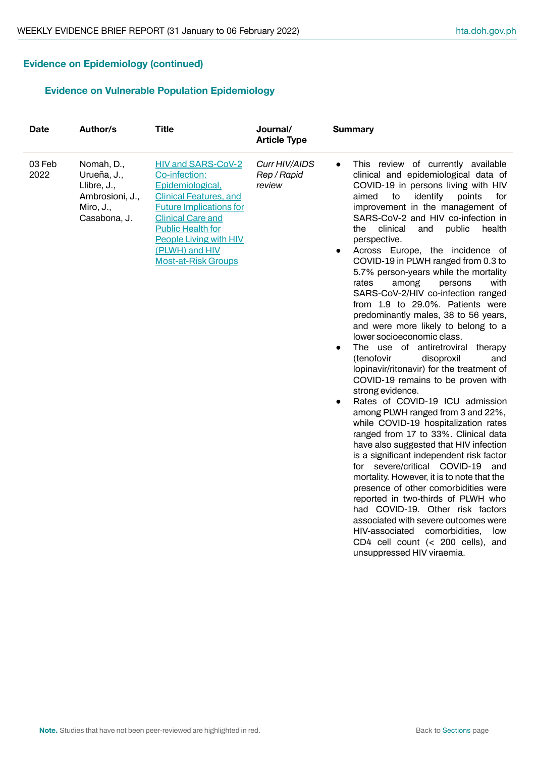# **Evidence on Epidemiology (continued)**

# **Evidence on Vulnerable Population Epidemiology**

| <b>Date</b>    | Author/s                                                                                 | <b>Title</b>                                                                                                                                                                                                                                                               | Journal/<br><b>Article Type</b>        | <b>Summary</b>                                                                                                                                                                                                                                                                                                                                                                                                                                                                                                                                                                                                                                                                                                                                                                                                                                                                                                                                                                                                                                                                                                                                                                                                                                                                                                                                                                                                                                                                                     |
|----------------|------------------------------------------------------------------------------------------|----------------------------------------------------------------------------------------------------------------------------------------------------------------------------------------------------------------------------------------------------------------------------|----------------------------------------|----------------------------------------------------------------------------------------------------------------------------------------------------------------------------------------------------------------------------------------------------------------------------------------------------------------------------------------------------------------------------------------------------------------------------------------------------------------------------------------------------------------------------------------------------------------------------------------------------------------------------------------------------------------------------------------------------------------------------------------------------------------------------------------------------------------------------------------------------------------------------------------------------------------------------------------------------------------------------------------------------------------------------------------------------------------------------------------------------------------------------------------------------------------------------------------------------------------------------------------------------------------------------------------------------------------------------------------------------------------------------------------------------------------------------------------------------------------------------------------------------|
| 03 Feb<br>2022 | Nomah, D.,<br>Urueña, J.,<br>Llibre, J.,<br>Ambrosioni, J.,<br>Miro, J.,<br>Casabona, J. | <b>HIV and SARS-CoV-2</b><br>Co-infection:<br>Epidemiological,<br><b>Clinical Features, and</b><br><b>Future Implications for</b><br><b>Clinical Care and</b><br><b>Public Health for</b><br><b>People Living with HIV</b><br>(PLWH) and HIV<br><b>Most-at-Risk Groups</b> | Curr HIV/AIDS<br>Rep / Rapid<br>review | This review of currently available<br>$\bullet$<br>clinical and epidemiological data of<br>COVID-19 in persons living with HIV<br>identify<br>aimed<br>to<br>points<br>for<br>improvement in the management of<br>SARS-CoV-2 and HIV co-infection in<br>clinical<br>public<br>the<br>and<br>health<br>perspective.<br>Across Europe, the incidence of<br>$\bullet$<br>COVID-19 in PLWH ranged from 0.3 to<br>5.7% person-years while the mortality<br>rates<br>among<br>persons<br>with<br>SARS-CoV-2/HIV co-infection ranged<br>from 1.9 to 29.0%. Patients were<br>predominantly males, 38 to 56 years,<br>and were more likely to belong to a<br>lower socioeconomic class.<br>The use of antiretroviral therapy<br>$\bullet$<br>(tenofovir<br>disoproxil<br>and<br>lopinavir/ritonavir) for the treatment of<br>COVID-19 remains to be proven with<br>strong evidence.<br>Rates of COVID-19 ICU admission<br>$\bullet$<br>among PLWH ranged from 3 and 22%,<br>while COVID-19 hospitalization rates<br>ranged from 17 to 33%. Clinical data<br>have also suggested that HIV infection<br>is a significant independent risk factor<br>for severe/critical COVID-19<br>and<br>mortality. However, it is to note that the<br>presence of other comorbidities were<br>reported in two-thirds of PLWH who<br>had COVID-19. Other risk factors<br>associated with severe outcomes were<br>HIV-associated<br>comorbidities,<br>low<br>CD4 cell count (< 200 cells), and<br>unsuppressed HIV viraemia. |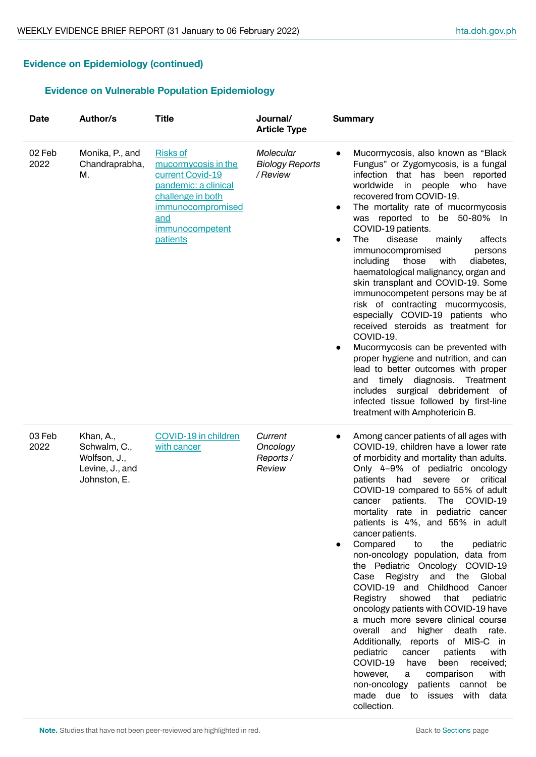# **Evidence on Epidemiology (continued)**

# **Evidence on Vulnerable Population Epidemiology**

| <b>Date</b>    | Author/s                                                                     | <b>Title</b>                                                                                                                                                       | Journal/<br><b>Article Type</b>                | <b>Summary</b>                                                                                                                                                                                                                                                                                                                                                                                                                                                                                                                                                                                                                                                                                                                                                                                                                                                                                                                                                               |
|----------------|------------------------------------------------------------------------------|--------------------------------------------------------------------------------------------------------------------------------------------------------------------|------------------------------------------------|------------------------------------------------------------------------------------------------------------------------------------------------------------------------------------------------------------------------------------------------------------------------------------------------------------------------------------------------------------------------------------------------------------------------------------------------------------------------------------------------------------------------------------------------------------------------------------------------------------------------------------------------------------------------------------------------------------------------------------------------------------------------------------------------------------------------------------------------------------------------------------------------------------------------------------------------------------------------------|
| 02 Feb<br>2022 | Monika, P., and<br>Chandraprabha,<br>М.                                      | <b>Risks of</b><br>mucormycosis in the<br>current Covid-19<br>pandemic: a clinical<br>challenge in both<br>immunocompromised<br>and<br>immunocompetent<br>patients | Molecular<br><b>Biology Reports</b><br>/Review | Mucormycosis, also known as "Black<br>$\bullet$<br>Fungus" or Zygomycosis, is a fungal<br>infection that has been reported<br>worldwide in<br>people who<br>have<br>recovered from COVID-19.<br>The mortality rate of mucormycosis<br>$\bullet$<br>was reported to be 50-80% In<br>COVID-19 patients.<br>disease<br>affects<br>The<br>mainly<br>$\bullet$<br>immunocompromised<br>persons<br>with<br>diabetes,<br>including<br>those<br>haematological malignancy, organ and<br>skin transplant and COVID-19. Some<br>immunocompetent persons may be at<br>risk of contracting mucormycosis,<br>especially COVID-19 patients who<br>received steroids as treatment for<br>COVID-19.<br>Mucormycosis can be prevented with<br>$\bullet$<br>proper hygiene and nutrition, and can<br>lead to better outcomes with proper<br>and timely diagnosis.<br>Treatment<br>includes surgical debridement of<br>infected tissue followed by first-line<br>treatment with Amphotericin B. |
| 03 Feb<br>2022 | Khan, A.,<br>Schwalm, C.,<br>Wolfson, J.,<br>Levine, J., and<br>Johnston, E. | COVID-19 in children<br>with cancer                                                                                                                                | Current<br>Oncology<br>Reports /<br>Review     | Among cancer patients of all ages with<br>COVID-19, children have a lower rate<br>of morbidity and mortality than adults.<br>Only 4-9% of pediatric oncology<br>patients had severe or critical<br>COVID-19 compared to 55% of adult<br>cancer patients. The COVID-19<br>mortality rate in pediatric cancer<br>patients is 4%, and 55% in adult<br>cancer patients.<br>Compared<br>the<br>to<br>pediatric<br>non-oncology population, data from<br>the Pediatric Oncology COVID-19<br>Case Registry and the<br>Global<br>COVID-19 and Childhood Cancer<br>Registry<br>showed<br>that<br>pediatric<br>oncology patients with COVID-19 have<br>a much more severe clinical course<br>overall<br>and<br>higher death rate.<br>Additionally, reports of MIS-C in<br>with<br>pediatric<br>cancer<br>patients<br>COVID-19<br>have<br>been<br>received;<br>however,<br>comparison<br>with<br>a<br>non-oncology patients cannot be<br>made due to issues with data                   |

collection.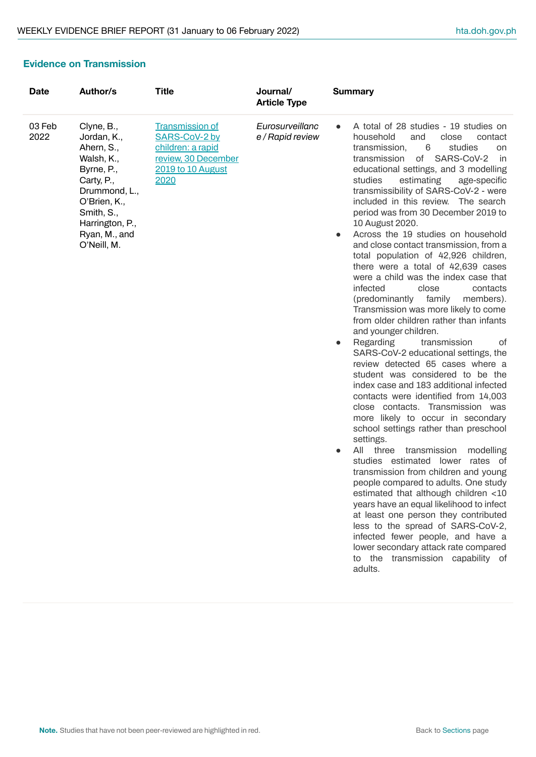# **Evidence on Transmission**

| <b>Date</b>    | Author/s                                                                                                                                                                            | <b>Title</b>                                                                                                            | Journal/<br><b>Article Type</b>     | <b>Summary</b>                                                                                                                                                                                                                                                                                                                                                                                                                                                                                                                                                                                                                                                                                                                                                                                                                                                                                                                                                                                                                                                                                                                                                                                                                                                                                                                                                                                                                                                                                                                                                                                                                                   |
|----------------|-------------------------------------------------------------------------------------------------------------------------------------------------------------------------------------|-------------------------------------------------------------------------------------------------------------------------|-------------------------------------|--------------------------------------------------------------------------------------------------------------------------------------------------------------------------------------------------------------------------------------------------------------------------------------------------------------------------------------------------------------------------------------------------------------------------------------------------------------------------------------------------------------------------------------------------------------------------------------------------------------------------------------------------------------------------------------------------------------------------------------------------------------------------------------------------------------------------------------------------------------------------------------------------------------------------------------------------------------------------------------------------------------------------------------------------------------------------------------------------------------------------------------------------------------------------------------------------------------------------------------------------------------------------------------------------------------------------------------------------------------------------------------------------------------------------------------------------------------------------------------------------------------------------------------------------------------------------------------------------------------------------------------------------|
| 03 Feb<br>2022 | Clyne, B.,<br>Jordan, K.,<br>Ahern, S.,<br>Walsh, K.,<br>Byrne, P.,<br>Carty, P.,<br>Drummond, L.,<br>O'Brien, K.,<br>Smith, S.,<br>Harrington, P.,<br>Ryan, M., and<br>O'Neill, M. | <b>Transmission of</b><br>SARS-CoV-2 by<br>children: a rapid<br>review, 30 December<br><b>2019 to 10 August</b><br>2020 | Eurosurveillanc<br>e / Rapid review | A total of 28 studies - 19 studies on<br>close<br>household<br>and<br>contact<br>studies<br>transmission,<br>6<br>on<br>transmission<br>SARS-CoV-2<br>of<br>in<br>educational settings, and 3 modelling<br>studies<br>estimating<br>age-specific<br>transmissibility of SARS-CoV-2 - were<br>included in this review. The search<br>period was from 30 December 2019 to<br>10 August 2020.<br>Across the 19 studies on household<br>and close contact transmission, from a<br>total population of 42,926 children,<br>there were a total of 42,639 cases<br>were a child was the index case that<br>infected<br>close<br>contacts<br>family<br>(predominantly<br>members).<br>Transmission was more likely to come<br>from older children rather than infants<br>and younger children.<br>Regarding<br>transmission<br>0f<br>$\bullet$<br>SARS-CoV-2 educational settings, the<br>review detected 65 cases where a<br>student was considered to be the<br>index case and 183 additional infected<br>contacts were identified from 14,003<br>close contacts. Transmission was<br>more likely to occur in secondary<br>school settings rather than preschool<br>settings.<br>All three<br>transmission<br>modelling<br>$\bullet$<br>studies estimated lower rates of<br>transmission from children and young<br>people compared to adults. One study<br>estimated that although children <10<br>years have an equal likelihood to infect<br>at least one person they contributed<br>less to the spread of SARS-CoV-2,<br>infected fewer people, and have a<br>lower secondary attack rate compared<br>to the transmission capability of<br>adults. |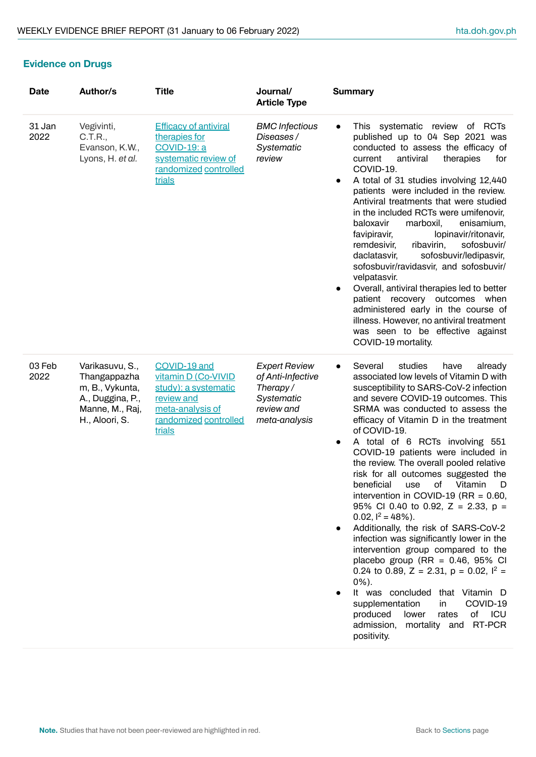# **Evidence on Drugs**

| <b>Date</b>    | Author/s                                                                                                    | <b>Title</b>                                                                                                                     | Journal/<br><b>Article Type</b>                                                                    | <b>Summary</b>                                                                                                                                                                                                                                                                                                                                                                                                                                                                                                                                                                                                                                                                                                                                                                                                                                                                                                                                                                                            |
|----------------|-------------------------------------------------------------------------------------------------------------|----------------------------------------------------------------------------------------------------------------------------------|----------------------------------------------------------------------------------------------------|-----------------------------------------------------------------------------------------------------------------------------------------------------------------------------------------------------------------------------------------------------------------------------------------------------------------------------------------------------------------------------------------------------------------------------------------------------------------------------------------------------------------------------------------------------------------------------------------------------------------------------------------------------------------------------------------------------------------------------------------------------------------------------------------------------------------------------------------------------------------------------------------------------------------------------------------------------------------------------------------------------------|
| 31 Jan<br>2022 | Vegivinti,<br>C.T.R.,<br>Evanson, K.W.,<br>Lyons, H. et al.                                                 | <b>Efficacy of antiviral</b><br>therapies for<br><b>COVID-19: a</b><br>systematic review of<br>randomized controlled<br>trials   | <b>BMC</b> Infectious<br>Diseases/<br>Systematic<br>review                                         | This systematic review of RCTs<br>$\bullet$<br>published up to 04 Sep 2021 was<br>conducted to assess the efficacy of<br>antiviral<br>current<br>therapies<br>for<br>COVID-19.<br>A total of 31 studies involving 12,440<br>patients were included in the review.<br>Antiviral treatments that were studied<br>in the included RCTs were umifenovir,<br>baloxavir<br>marboxil,<br>enisamium,<br>lopinavir/ritonavir,<br>favipiravir,<br>ribavirin,<br>sofosbuvir/<br>remdesivir,<br>sofosbuvir/ledipasvir,<br>daclatasvir,<br>sofosbuvir/ravidasvir, and sofosbuvir/<br>velpatasvir.<br>Overall, antiviral therapies led to better<br>$\bullet$<br>patient recovery outcomes when<br>administered early in the course of<br>illness. However, no antiviral treatment<br>was seen to be effective against<br>COVID-19 mortality.                                                                                                                                                                           |
| 03 Feb<br>2022 | Varikasuvu, S.,<br>Thangappazha<br>m, B., Vykunta,<br>A., Duggina, P.,<br>Manne, M., Raj,<br>H., Aloori, S. | COVID-19 and<br>vitamin D (Co-VIVID<br>study): a systematic<br>review and<br>meta-analysis of<br>randomized controlled<br>trials | <b>Expert Review</b><br>of Anti-Infective<br>Therapy/<br>Systematic<br>review and<br>meta-analysis | studies<br>Several<br>have<br>already<br>$\bullet$<br>associated low levels of Vitamin D with<br>susceptibility to SARS-CoV-2 infection<br>and severe COVID-19 outcomes. This<br>SRMA was conducted to assess the<br>efficacy of Vitamin D in the treatment<br>of COVID-19.<br>A total of 6 RCTs involving 551<br>$\bullet$<br>COVID-19 patients were included in<br>the review. The overall pooled relative<br>risk for all outcomes suggested the<br>beneficial use of Vitamin D<br>intervention in COVID-19 (RR = $0.60$ ,<br>95% Cl 0.40 to 0.92, Z = 2.33, p =<br>0.02, $I^2 = 48\%$ ).<br>Additionally, the risk of SARS-CoV-2<br>$\bullet$<br>infection was significantly lower in the<br>intervention group compared to the<br>placebo group (RR = $0.46$ , 95% CI<br>0.24 to 0.89, Z = 2.31, p = 0.02, $I^2$ =<br>$0\%$ ).<br>that Vitamin D<br>It was concluded<br>supplementation<br>COVID-19<br>in.<br>produced<br>lower<br>of ICU<br>rates<br>admission, mortality and RT-PCR<br>positivity. |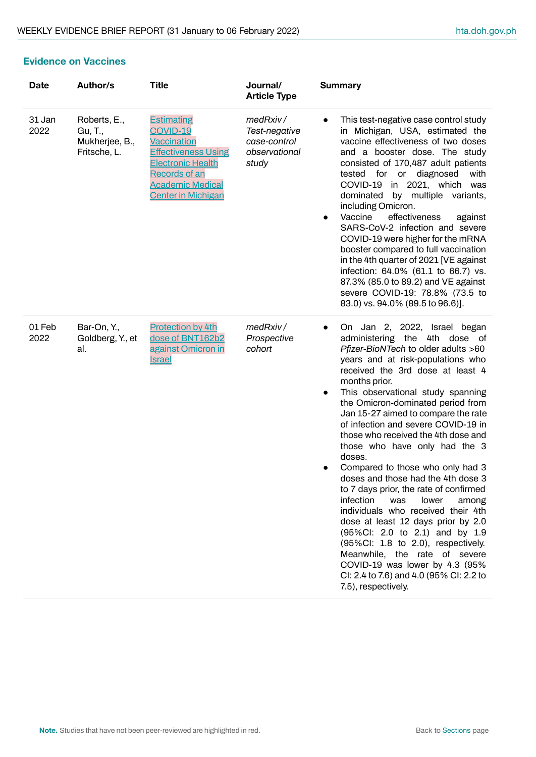#### <span id="page-6-0"></span>**Evidence on Vaccines**

| <b>Date</b>    | Author/s                                                  | <b>Title</b>                                                                                                                                                                                  | Journal/<br><b>Article Type</b>                                     | <b>Summary</b>                                                                                                                                                                                                                                                                                                                                                                                                                                                                                                                                                                                                                                                                                                                                                                                                                                                                                                 |
|----------------|-----------------------------------------------------------|-----------------------------------------------------------------------------------------------------------------------------------------------------------------------------------------------|---------------------------------------------------------------------|----------------------------------------------------------------------------------------------------------------------------------------------------------------------------------------------------------------------------------------------------------------------------------------------------------------------------------------------------------------------------------------------------------------------------------------------------------------------------------------------------------------------------------------------------------------------------------------------------------------------------------------------------------------------------------------------------------------------------------------------------------------------------------------------------------------------------------------------------------------------------------------------------------------|
| 31 Jan<br>2022 | Roberts, E.,<br>Gu, T.,<br>Mukherjee, B.,<br>Fritsche, L. | <b>Estimating</b><br><b>COVID-19</b><br><b>Vaccination</b><br><b>Effectiveness Using</b><br><b>Electronic Health</b><br>Records of an<br><b>Academic Medical</b><br><b>Center in Michigan</b> | medRxiv/<br>Test-negative<br>case-control<br>observational<br>study | This test-negative case control study<br>$\bullet$<br>in Michigan, USA, estimated the<br>vaccine effectiveness of two doses<br>and a booster dose. The study<br>consisted of 170,487 adult patients<br>diagnosed<br>tested<br>for or<br>with<br>in 2021, which was<br>COVID-19<br>by multiple variants,<br>dominated<br>including Omicron.<br>Vaccine<br>effectiveness<br>against<br>$\bullet$<br>SARS-CoV-2 infection and severe<br>COVID-19 were higher for the mRNA<br>booster compared to full vaccination<br>in the 4th quarter of 2021 [VE against<br>infection: 64.0% (61.1 to 66.7) vs.<br>87.3% (85.0 to 89.2) and VE against<br>severe COVID-19: 78.8% (73.5 to<br>83.0) vs. 94.0% (89.5 to 96.6)].                                                                                                                                                                                                  |
| 01 Feb<br>2022 | Bar-On, Y.,<br>Goldberg, Y., et<br>al.                    | <b>Protection by 4th</b><br>dose of BNT162b2<br>against Omicron in<br><u>Israel</u>                                                                                                           | medRxiv/<br>Prospective<br>cohort                                   | On Jan 2, 2022, Israel began<br>administering the 4th dose of<br>Pfizer-BioNTech to older adults $\geq 60$<br>years and at risk-populations who<br>received the 3rd dose at least 4<br>months prior.<br>This observational study spanning<br>$\bullet$<br>the Omicron-dominated period from<br>Jan 15-27 aimed to compare the rate<br>of infection and severe COVID-19 in<br>those who received the 4th dose and<br>those who have only had the 3<br>doses.<br>Compared to those who only had 3<br>doses and those had the 4th dose 3<br>to 7 days prior, the rate of confirmed<br>infection<br>was<br>lower<br>among<br>individuals who received their 4th<br>dose at least 12 days prior by 2.0<br>(95%Cl: 2.0 to 2.1) and by 1.9<br>(95%CI: 1.8 to 2.0), respectively.<br>Meanwhile, the rate of severe<br>COVID-19 was lower by 4.3 (95%<br>CI: 2.4 to 7.6) and 4.0 (95% CI: 2.2 to<br>7.5), respectively. |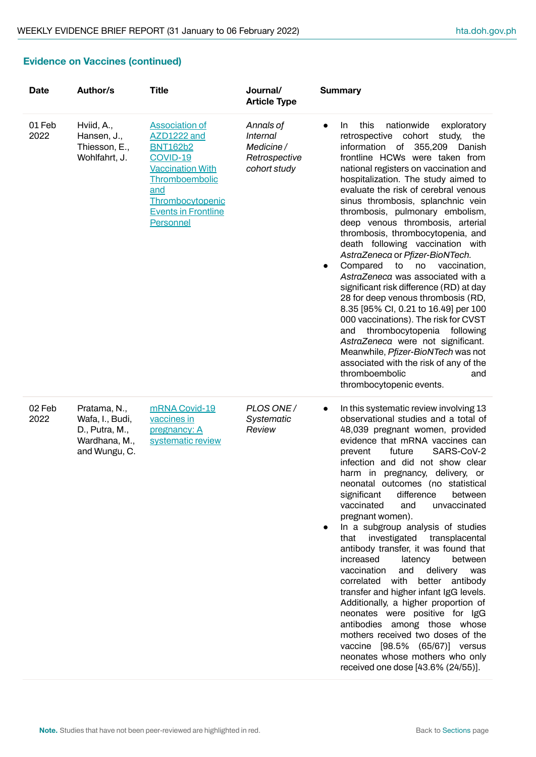# **Evidence on Vaccines (continued)**

| <b>Date</b>    | Author/s                                                                            | <b>Title</b>                                                                                                                                                                           | Journal/<br><b>Article Type</b>                                     | <b>Summary</b>                                                                                                                                                                                                                                                                                                                                                                                                                                                                                                                                                                                                                                                                                                                                                                                                                                                                                                                                                                                       |
|----------------|-------------------------------------------------------------------------------------|----------------------------------------------------------------------------------------------------------------------------------------------------------------------------------------|---------------------------------------------------------------------|------------------------------------------------------------------------------------------------------------------------------------------------------------------------------------------------------------------------------------------------------------------------------------------------------------------------------------------------------------------------------------------------------------------------------------------------------------------------------------------------------------------------------------------------------------------------------------------------------------------------------------------------------------------------------------------------------------------------------------------------------------------------------------------------------------------------------------------------------------------------------------------------------------------------------------------------------------------------------------------------------|
| 01 Feb<br>2022 | Hviid, A.,<br>Hansen, J.,<br>Thiesson, E.,<br>Wohlfahrt, J.                         | <b>Association of</b><br>AZD1222 and<br><b>BNT162b2</b><br>COVID-19<br><b>Vaccination With</b><br>Thromboembolic<br>and<br>Thrombocytopenic<br><b>Events in Frontline</b><br>Personnel | Annals of<br>Internal<br>Medicine/<br>Retrospective<br>cohort study | this<br>nationwide<br>exploratory<br>In.<br>$\bullet$<br>retrospective<br>cohort<br>study,<br>the<br>information of<br>355,209<br>Danish<br>frontline HCWs were taken from<br>national registers on vaccination and<br>hospitalization. The study aimed to<br>evaluate the risk of cerebral venous<br>sinus thrombosis, splanchnic vein<br>thrombosis, pulmonary embolism,<br>deep venous thrombosis, arterial<br>thrombosis, thrombocytopenia, and<br>death following vaccination with<br>AstraZeneca or Pfizer-BioNTech.<br>Compared<br>to<br>no<br>vaccination,<br>$\bullet$<br>AstraZeneca was associated with a<br>significant risk difference (RD) at day<br>28 for deep venous thrombosis (RD,<br>8.35 [95% CI, 0.21 to 16.49] per 100<br>000 vaccinations). The risk for CVST<br>thrombocytopenia following<br>and<br>AstraZeneca were not significant.<br>Meanwhile, Pfizer-BioNTech was not<br>associated with the risk of any of the<br>thromboembolic<br>and<br>thrombocytopenic events. |
| 02 Feb<br>2022 | Pratama, N.,<br>Wafa, I., Budi,<br>D., Putra, M.,<br>Wardhana, M.,<br>and Wungu, C. | mRNA Covid-19<br>vaccines in<br>pregnancy: A<br>systematic review                                                                                                                      | PLOS ONE /<br>Systematic<br>Review                                  | In this systematic review involving 13<br>$\bullet$<br>observational studies and a total of<br>48,039 pregnant women, provided<br>evidence that mRNA vaccines can<br>SARS-CoV-2<br>future<br>prevent<br>infection and did not show clear<br>pregnancy, delivery, or<br>harm in<br>neonatal outcomes (no statistical<br>significant<br>difference<br>between<br>vaccinated<br>and<br>unvaccinated<br>pregnant women).<br>In a subgroup analysis of studies<br>that investigated transplacental<br>antibody transfer, it was found that<br>increased<br>latency<br>between<br>vaccination<br>and<br>delivery<br>was<br>correlated with<br>better antibody<br>transfer and higher infant IgG levels.<br>Additionally, a higher proportion of<br>neonates were positive for IgG<br>antibodies among those whose<br>mothers received two doses of the<br>vaccine [98.5% (65/67)] versus<br>neonates whose mothers who only<br>received one dose [43.6% (24/55)].                                          |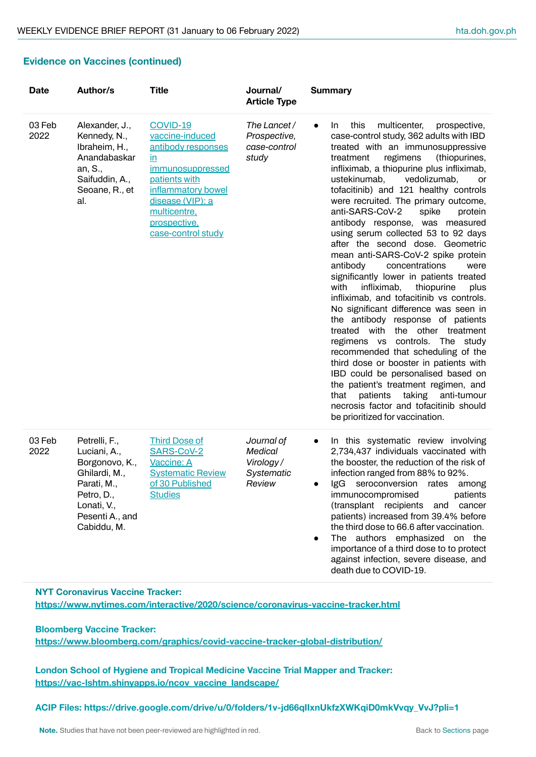#### **Evidence on Vaccines (continued)**

| <b>Date</b>    | Author/s                                                                                                                                       | <b>Title</b>                                                                                                                                                                                        | Journal/<br><b>Article Type</b>                             | <b>Summary</b>                                                                                                                                                                                                                                                                                                                                                                                                                                                                                                                                                                                                                                                                                                                                                                                                                                                                                                                                                                                                                                                                                                                                                           |
|----------------|------------------------------------------------------------------------------------------------------------------------------------------------|-----------------------------------------------------------------------------------------------------------------------------------------------------------------------------------------------------|-------------------------------------------------------------|--------------------------------------------------------------------------------------------------------------------------------------------------------------------------------------------------------------------------------------------------------------------------------------------------------------------------------------------------------------------------------------------------------------------------------------------------------------------------------------------------------------------------------------------------------------------------------------------------------------------------------------------------------------------------------------------------------------------------------------------------------------------------------------------------------------------------------------------------------------------------------------------------------------------------------------------------------------------------------------------------------------------------------------------------------------------------------------------------------------------------------------------------------------------------|
| 03 Feb<br>2022 | Alexander, J.,<br>Kennedy, N.,<br>Ibraheim, H.,<br>Anandabaskar<br>an, S.,<br>Saifuddin, A.,<br>Seoane, R., et<br>al.                          | COVID-19<br>vaccine-induced<br>antibody responses<br><u>in</u><br>immunosuppressed<br>patients with<br>inflammatory bowel<br>disease (VIP): a<br>multicentre,<br>prospective,<br>case-control study | The Lancet/<br>Prospective,<br>case-control<br>study        | this<br>multicenter,<br>prospective,<br>In.<br>$\bullet$<br>case-control study, 362 adults with IBD<br>treated with an immunosuppressive<br>(thiopurines,<br>regimens<br>treatment<br>infliximab, a thiopurine plus infliximab,<br>vedolizumab,<br>ustekinumab,<br>or<br>tofacitinib) and 121 healthy controls<br>were recruited. The primary outcome,<br>anti-SARS-CoV-2<br>spike<br>protein<br>antibody response, was measured<br>using serum collected 53 to 92 days<br>after the second dose. Geometric<br>mean anti-SARS-CoV-2 spike protein<br>concentrations<br>antibody<br>were<br>significantly lower in patients treated<br>with<br>thiopurine<br>infliximab,<br>plus<br>infliximab, and tofacitinib vs controls.<br>No significant difference was seen in<br>the antibody response of patients<br>treated with the other treatment<br>regimens vs controls. The study<br>recommended that scheduling of the<br>third dose or booster in patients with<br>IBD could be personalised based on<br>the patient's treatment regimen, and<br>taking<br>anti-tumour<br>that<br>patients<br>necrosis factor and tofacitinib should<br>be prioritized for vaccination. |
| 03 Feb<br>2022 | Petrelli, F.,<br>Luciani, A.,<br>Borgonovo, K.,<br>Ghilardi, M.,<br>Parati, M.,<br>Petro, D.,<br>Lonati, V.,<br>Pesenti A., and<br>Cabiddu, M. | <b>Third Dose of</b><br>SARS-CoV-2<br>Vaccine: A<br><b>Systematic Review</b><br>of 30 Published<br><b>Studies</b>                                                                                   | Journal of<br>Medical<br>Virology /<br>Systematic<br>Review | In this systematic review involving<br>$\bullet$<br>2,734,437 individuals vaccinated with<br>the booster, the reduction of the risk of<br>infection ranged from 88% to 92%.<br>IgG seroconversion rates among<br>patients<br>immunocompromised<br>(transplant recipients<br>and cancer<br>patients) increased from 39.4% before<br>the third dose to 66.6 after vaccination.<br>The authors emphasized on the<br>importance of a third dose to to protect<br>against infection, severe disease, and<br>death due to COVID-19.                                                                                                                                                                                                                                                                                                                                                                                                                                                                                                                                                                                                                                            |

**NYT Coronavirus Vaccine Tracker: <https://www.nytimes.com/interactive/2020/science/coronavirus-vaccine-tracker.html>**

**Bloomberg Vaccine Tracker: <https://www.bloomberg.com/graphics/covid-vaccine-tracker-global-distribution/>**

**London School of Hygiene and Tropical Medicine Vaccine Trial Mapper and Tracker: [https://vac-lshtm.shinyapps.io/ncov\\_vaccine\\_landscape/](https://vac-lshtm.shinyapps.io/ncov_vaccine_landscape/)**

**ACIP Files: https://drive.google.com/drive/u/0/folders/1v-jd66qIIxnUkfzXWKqiD0mkVvqy\_VvJ?pli=1**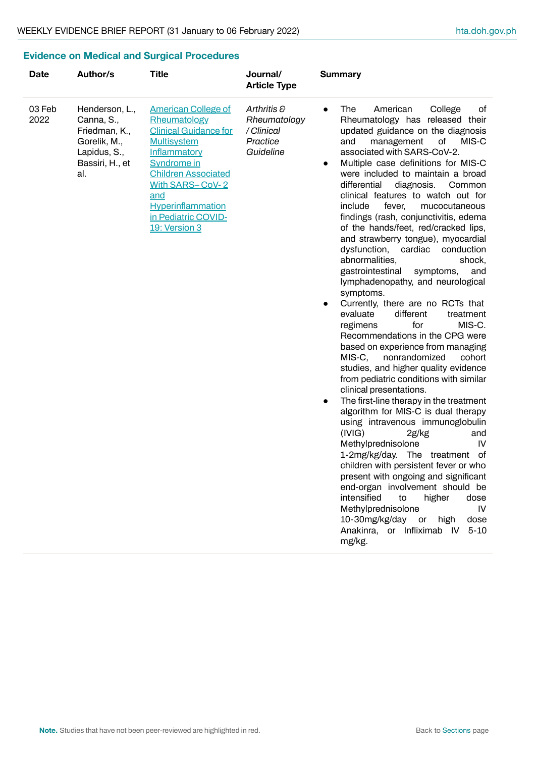# <span id="page-9-0"></span>**Evidence on Medical and Surgical Procedures**

| <b>Date</b>    | Author/s                                                                                                | <b>Title</b>                                                                                                                                                                                                                                                | Journal/<br><b>Article Type</b>                                    | <b>Summary</b>                                                                                                                                                                                                                                                                                                                                                                                                                                                                                                                                                                                                                                                                                                                                                                                                                                                                                                                                                                                                                                                                                                                                                                                                                                                                                                                                                                                                                                                                                                                                           |
|----------------|---------------------------------------------------------------------------------------------------------|-------------------------------------------------------------------------------------------------------------------------------------------------------------------------------------------------------------------------------------------------------------|--------------------------------------------------------------------|----------------------------------------------------------------------------------------------------------------------------------------------------------------------------------------------------------------------------------------------------------------------------------------------------------------------------------------------------------------------------------------------------------------------------------------------------------------------------------------------------------------------------------------------------------------------------------------------------------------------------------------------------------------------------------------------------------------------------------------------------------------------------------------------------------------------------------------------------------------------------------------------------------------------------------------------------------------------------------------------------------------------------------------------------------------------------------------------------------------------------------------------------------------------------------------------------------------------------------------------------------------------------------------------------------------------------------------------------------------------------------------------------------------------------------------------------------------------------------------------------------------------------------------------------------|
| 03 Feb<br>2022 | Henderson, L.,<br>Canna, S.,<br>Friedman, K.,<br>Gorelik, M.,<br>Lapidus, S.,<br>Bassiri, H., et<br>al. | <b>American College of</b><br>Rheumatology<br><b>Clinical Guidance for</b><br><b>Multisystem</b><br>Inflammatory<br><b>Syndrome in</b><br><b>Children Associated</b><br>With SARS-CoV-2<br>and<br>Hyperinflammation<br>in Pediatric COVID-<br>19: Version 3 | Arthritis &<br>Rheumatology<br>/ Clinical<br>Practice<br>Guideline | American<br>The<br>College<br>οf<br>$\bullet$<br>Rheumatology has released their<br>updated guidance on the diagnosis<br>and<br>of<br>MIS-C<br>management<br>associated with SARS-CoV-2.<br>Multiple case definitions for MIS-C<br>$\bullet$<br>were included to maintain a broad<br>differential<br>diagnosis.<br>Common<br>clinical features to watch out for<br>include<br>fever,<br>mucocutaneous<br>findings (rash, conjunctivitis, edema<br>of the hands/feet, red/cracked lips,<br>and strawberry tongue), myocardial<br>dysfunction,<br>cardiac<br>conduction<br>abnormalities,<br>shock,<br>gastrointestinal<br>symptoms,<br>and<br>lymphadenopathy, and neurological<br>symptoms.<br>Currently, there are no RCTs that<br>$\bullet$<br>evaluate<br>different<br>treatment<br>for<br>regimens<br>MIS-C.<br>Recommendations in the CPG were<br>based on experience from managing<br>MIS-C,<br>nonrandomized<br>cohort<br>studies, and higher quality evidence<br>from pediatric conditions with similar<br>clinical presentations.<br>The first-line therapy in the treatment<br>$\bullet$<br>algorithm for MIS-C is dual therapy<br>using intravenous immunoglobulin<br>(IVIG)<br>2g/kg<br>and<br>Methylprednisolone<br>IV<br>1-2mg/kg/day. The treatment of<br>children with persistent fever or who<br>present with ongoing and significant<br>end-organ involvement should be<br>intensified<br>dose<br>to<br>higher<br>Methylprednisolone<br>IV<br>10-30mg/kg/day<br>or<br>high<br>dose<br>Anakinra, or Infliximab IV<br>$5 - 10$<br>mg/kg. |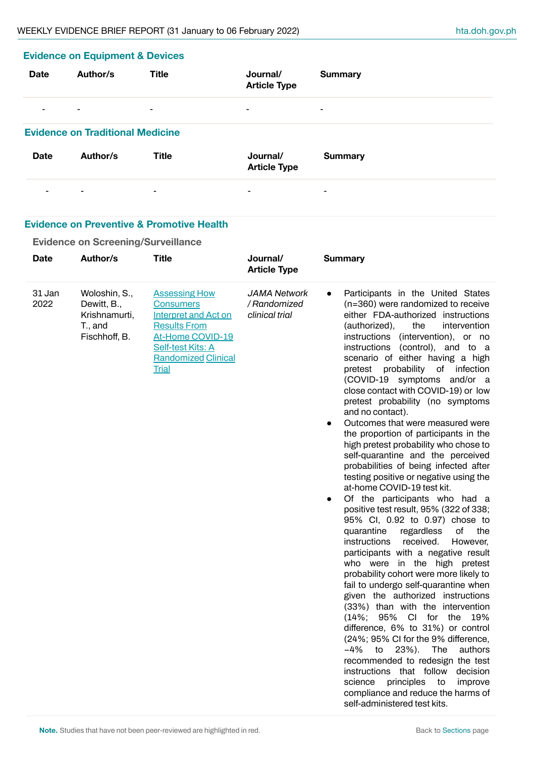| <b>Evidence on Equipment &amp; Devices</b> |                                         |                |                                 |                |  |  |
|--------------------------------------------|-----------------------------------------|----------------|---------------------------------|----------------|--|--|
| <b>Date</b>                                | Author/s                                | <b>Title</b>   | Journal/<br><b>Article Type</b> | <b>Summary</b> |  |  |
| -                                          | $\overline{\phantom{a}}$                | $\blacksquare$ | $\blacksquare$                  | $\blacksquare$ |  |  |
|                                            | <b>Evidence on Traditional Medicine</b> |                |                                 |                |  |  |
| <b>Date</b>                                | Author/s                                | <b>Title</b>   | Journal/<br><b>Article Type</b> | <b>Summary</b> |  |  |
|                                            | $\overline{\phantom{a}}$                | $\blacksquare$ | $\blacksquare$                  | ۰              |  |  |

#### **Evidence on Preventive & Promotive Health**

# **Evidence on Screening/Surveillance**

| <b>Date</b>    | Author/s                                                                  | <b>Title</b>                                                                                                                                                                                 | Journal/<br><b>Article Type</b>                       | <b>Summary</b>                                                                                                                                                                                                                                                                                                                                                                                                                                                                                                                                                                                                                                                                                                                                                                                                                                                                                                                                                                                                                                                                                                                                                                                                                                                                                                                                                                                                                                                                                                                                               |
|----------------|---------------------------------------------------------------------------|----------------------------------------------------------------------------------------------------------------------------------------------------------------------------------------------|-------------------------------------------------------|--------------------------------------------------------------------------------------------------------------------------------------------------------------------------------------------------------------------------------------------------------------------------------------------------------------------------------------------------------------------------------------------------------------------------------------------------------------------------------------------------------------------------------------------------------------------------------------------------------------------------------------------------------------------------------------------------------------------------------------------------------------------------------------------------------------------------------------------------------------------------------------------------------------------------------------------------------------------------------------------------------------------------------------------------------------------------------------------------------------------------------------------------------------------------------------------------------------------------------------------------------------------------------------------------------------------------------------------------------------------------------------------------------------------------------------------------------------------------------------------------------------------------------------------------------------|
| 31 Jan<br>2022 | Woloshin, S.,<br>Dewitt, B.,<br>Krishnamurti,<br>T., and<br>Fischhoff, B. | <b>Assessing How</b><br><b>Consumers</b><br><b>Interpret and Act on</b><br><b>Results From</b><br>At-Home COVID-19<br><b>Self-test Kits: A</b><br><b>Randomized Clinical</b><br><b>Trial</b> | <b>JAMA Network</b><br>/ Randomized<br>clinical trial | Participants in the United States<br>$\bullet$<br>(n=360) were randomized to receive<br>either FDA-authorized instructions<br>(authorized),<br>the<br>intervention<br>instructions<br>(intervention), or no<br>instructions<br>(control), and to a<br>scenario of either having a high<br>probability of infection<br>pretest<br>(COVID-19 symptoms and/or a<br>close contact with COVID-19) or low<br>pretest probability (no symptoms<br>and no contact).<br>Outcomes that were measured were<br>the proportion of participants in the<br>high pretest probability who chose to<br>self-quarantine and the perceived<br>probabilities of being infected after<br>testing positive or negative using the<br>at-home COVID-19 test kit.<br>Of the participants who had a<br>$\bullet$<br>positive test result, 95% (322 of 338;<br>95% CI, 0.92 to 0.97) chose to<br>quarantine<br>regardless<br>οf<br>the<br><i>instructions</i><br>received.<br>However,<br>participants with a negative result<br>who were in the high pretest<br>probability cohort were more likely to<br>fail to undergo self-quarantine when<br>given the authorized instructions<br>(33%) than with the intervention<br>$(14\%; 95\%$<br>- CI<br>for the<br>- 19%<br>difference, 6% to 31%) or control<br>(24%; 95% CI for the 9% difference,<br>$23%$ ).<br>The<br>-4%<br>to<br>authors<br>recommended to redesign the test<br>instructions that follow<br>decision<br>science<br>principles<br>improve<br>to<br>compliance and reduce the harms of<br>self-administered test kits. |